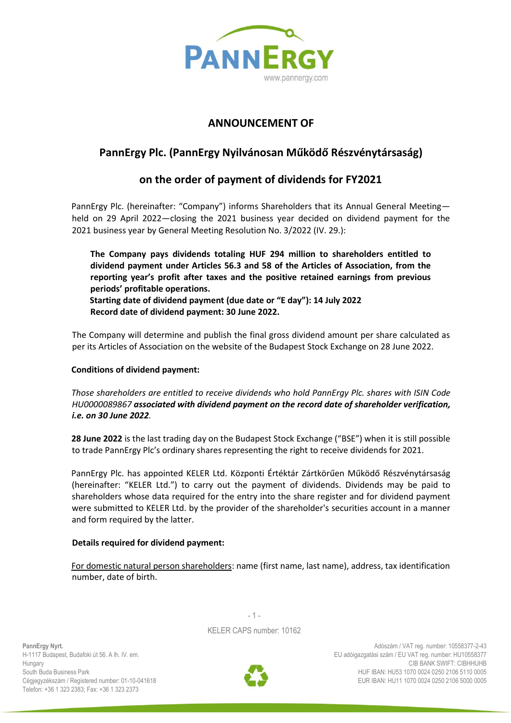

## **ANNOUNCEMENT OF**

# **PannErgy Plc. (PannErgy Nyilvánosan Működő Részvénytársaság)**

## **on the order of payment of dividends for FY2021**

PannErgy Plc. (hereinafter: "Company") informs Shareholders that its Annual General Meeting held on 29 April 2022—closing the 2021 business year decided on dividend payment for the 2021 business year by General Meeting Resolution No. 3/2022 (IV. 29.):

**The Company pays dividends totaling HUF 294 million to shareholders entitled to dividend payment under Articles 56.3 and 58 of the Articles of Association, from the reporting year's profit after taxes and the positive retained earnings from previous periods' profitable operations. Starting date of dividend payment (due date or "E day"): 14 July 2022 Record date of dividend payment: 30 June 2022.**

The Company will determine and publish the final gross dividend amount per share calculated as per its Articles of Association on the website of the Budapest Stock Exchange on 28 June 2022.

### **Conditions of dividend payment:**

*Those shareholders are entitled to receive dividends who hold PannErgy Plc. shares with ISIN Code HU0000089867 associated with dividend payment on the record date of shareholder verification, i.e. on 30 June 2022.*

**28 June 2022** is the last trading day on the Budapest Stock Exchange ("BSE") when it is still possible to trade PannErgy Plc's ordinary shares representing the right to receive dividends for 2021.

PannErgy Plc. has appointed KELER Ltd. Központi Értéktár Zártkörűen Működő Részvénytársaság (hereinafter: "KELER Ltd.") to carry out the payment of dividends. Dividends may be paid to shareholders whose data required for the entry into the share register and for dividend payment were submitted to KELER Ltd. by the provider of the shareholder's securities account in a manner and form required by the latter.

#### **Details required for dividend payment:**

For domestic natural person shareholders: name (first name, last name), address, tax identification number, date of birth.

> $-1 -$ KELER CAPS number: 10162



Adószám / VAT reg. number: 10558377-2-43 EU adóigazgatási szám / EU VAT reg. number: HU10558377 CIB BANK SWIFT: CIBHHUHB HUF IBAN: HU53 1070 0024 0250 2106 5110 0005 EUR IBAN: HU11 1070 0024 0250 2106 5000 0005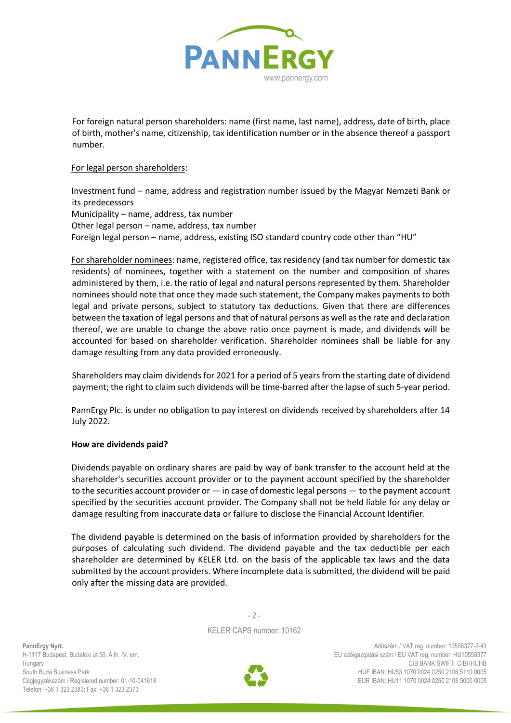

For foreign natural person shareholders: name (first name, last name), address, date of birth, place of birth, mother's name, citizenship, tax identification number or in the absence thereof a passport number.

### For legal person shareholders:

Investment fund – name, address and registration number issued by the Magyar Nemzeti Bank or its predecessors Municipality – name, address, tax number Other legal person – name, address, tax number Foreign legal person – name, address, existing ISO standard country code other than "HU"

For shareholder nominees: name, registered office, tax residency (and tax number for domestic tax residents) of nominees, together with a statement on the number and composition of shares administered by them, i.e. the ratio of legal and natural persons represented by them. Shareholder nominees should note that once they made such statement, the Company makes payments to both legal and private persons, subject to statutory tax deductions. Given that there are differences between the taxation of legal persons and that of natural persons as well as the rate and declaration thereof, we are unable to change the above ratio once payment is made, and dividends will be accounted for based on shareholder verification. Shareholder nominees shall be liable for any damage resulting from any data provided erroneously.

Shareholders may claim dividends for 2021 for a period of 5 years from the starting date of dividend payment; the right to claim such dividends will be time-barred after the lapse of such 5-year period.

PannErgy Plc. is under no obligation to pay interest on dividends received by shareholders after 14 July 2022.

### **How are dividends paid?**

Dividends payable on ordinary shares are paid by way of bank transfer to the account held at the shareholder's securities account provider or to the payment account specified by the shareholder to the securities account provider or — in case of domestic legal persons — to the payment account specified by the securities account provider. The Company shall not be held liable for any delay or damage resulting from inaccurate data or failure to disclose the Financial Account Identifier.

The dividend payable is determined on the basis of information provided by shareholders for the purposes of calculating such dividend. The dividend payable and the tax deductible per each shareholder are determined by KELER Ltd. on the basis of the applicable tax laws and the data submitted by the account providers. Where incomplete data is submitted, the dividend will be paid only after the missing data are provided.

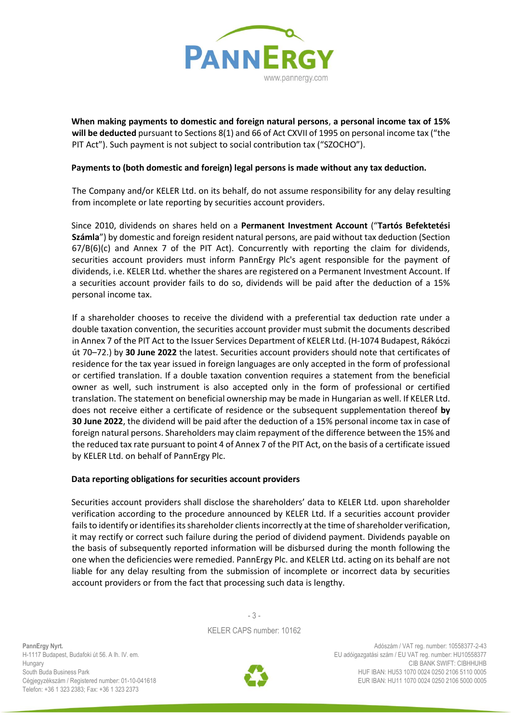

**When making payments to domestic and foreign natural persons**, **a personal income tax of 15% will be deducted** pursuant to Sections 8(1) and 66 of Act CXVII of 1995 on personal income tax ("the PIT Act"). Such payment is not subject to social contribution tax ("SZOCHO").

### **Payments to (both domestic and foreign) legal persons is made without any tax deduction.**

The Company and/or KELER Ltd. on its behalf, do not assume responsibility for any delay resulting from incomplete or late reporting by securities account providers.

Since 2010, dividends on shares held on a **Permanent Investment Account** ("**Tartós Befektetési Számla**") by domestic and foreign resident natural persons, are paid without tax deduction (Section  $67/B(6)(c)$  and Annex 7 of the PIT Act). Concurrently with reporting the claim for dividends, securities account providers must inform PannErgy Plc's agent responsible for the payment of dividends, i.e. KELER Ltd. whether the shares are registered on a Permanent Investment Account. If a securities account provider fails to do so, dividends will be paid after the deduction of a 15% personal income tax.

If a shareholder chooses to receive the dividend with a preferential tax deduction rate under a double taxation convention, the securities account provider must submit the documents described in Annex 7 of the PIT Act to the Issuer Services Department of KELER Ltd. (H-1074 Budapest, Rákóczi út 70–72.) by **30 June 2022** the latest. Securities account providers should note that certificates of residence for the tax year issued in foreign languages are only accepted in the form of professional or certified translation. If a double taxation convention requires a statement from the beneficial owner as well, such instrument is also accepted only in the form of professional or certified translation. The statement on beneficial ownership may be made in Hungarian as well. If KELER Ltd. does not receive either a certificate of residence or the subsequent supplementation thereof **by 30 June 2022**, the dividend will be paid after the deduction of a 15% personal income tax in case of foreign natural persons. Shareholders may claim repayment of the difference between the 15% and the reduced tax rate pursuant to point 4 of Annex 7 of the PIT Act, on the basis of a certificate issued by KELER Ltd. on behalf of PannErgy Plc.

#### **Data reporting obligations for securities account providers**

Securities account providers shall disclose the shareholders' data to KELER Ltd. upon shareholder verification according to the procedure announced by KELER Ltd. If a securities account provider fails to identify or identifies its shareholder clients incorrectly at the time of shareholder verification, it may rectify or correct such failure during the period of dividend payment. Dividends payable on the basis of subsequently reported information will be disbursed during the month following the one when the deficiencies were remedied. PannErgy Plc. and KELER Ltd. acting on its behalf are not liable for any delay resulting from the submission of incomplete or incorrect data by securities account providers or from the fact that processing such data is lengthy.

> - 3 - KELER CAPS number: 10162

**PannErgy Nyrt.**  H-1117 Budapest, Budafoki út 56. A lh. IV. em. Hungary South Buda Business Park Cégjegyzékszám / Registered number: 01-10-041618 Telefon: +36 1 323 2383; Fax: +36 1 323 2373



Adószám / VAT reg. number: 10558377-2-43 EU adóigazgatási szám / EU VAT reg. number: HU10558377 CIB BANK SWIFT: CIBHHUHB HUF IBAN: HU53 1070 0024 0250 2106 5110 0005 EUR IBAN: HU11 1070 0024 0250 2106 5000 0005